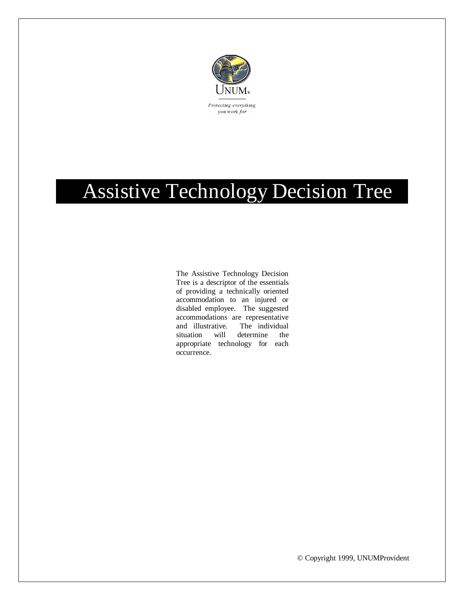

## Assistive Technology Decision Tree .

The Assistive Technology Decision Tree is a descriptor of the essentials of providing a technically oriented accommodation to an injured or disabled employee. The suggested accommodations are representative and illustrative. The individual situation will determine the appropriate technology for each occurrence.

© Copyright 1999, UNUMProvident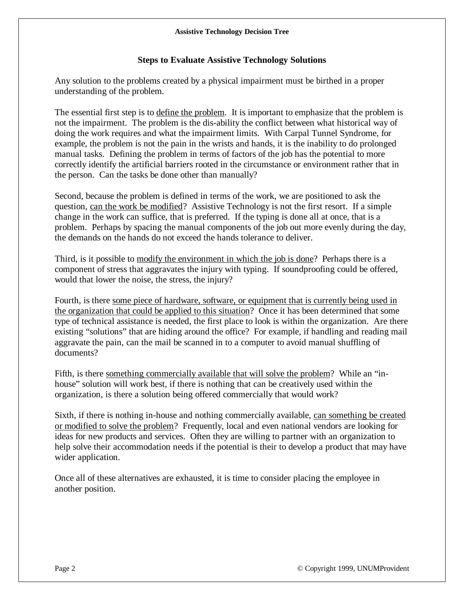## **Steps to Evaluate Assistive Technology Solutions**

Any solution to the problems created by a physical impairment must be birthed in a proper understanding of the problem.

The essential first step is to define the problem. It is important to emphasize that the problem is not the impairment. The problem is the dis-ability the conflict between what historical way of doing the work requires and what the impairment limits. With Carpal Tunnel Syndrome, for example, the problem is not the pain in the wrists and hands, it is the inability to do prolonged manual tasks. Defining the problem in terms of factors of the job has the potential to more correctly identify the artificial barriers rooted in the circumstance or environment rather that in the person. Can the tasks be done other than manually?

Second, because the problem is defined in terms of the work, we are positioned to ask the question, can the work be modified? Assistive Technology is not the first resort. If a simple change in the work can suffice, that is preferred. If the typing is done all at once, that is a problem. Perhaps by spacing the manual components of the job out more evenly during the day, the demands on the hands do not exceed the hands tolerance to deliver.

Third, is it possible to modify the environment in which the job is done? Perhaps there is a component of stress that aggravates the injury with typing. If soundproofing could be offered, would that lower the noise, the stress, the injury?

Fourth, is there some piece of hardware, software, or equipment that is currently being used in the organization that could be applied to this situation? Once it has been determined that some type of technical assistance is needed, the first place to look is within the organization. Are there existing "solutions" that are hiding around the office? For example, if handling and reading mail aggravate the pain, can the mail be scanned in to a computer to avoid manual shuffling of documents?

Fifth, is there something commercially available that will solve the problem? While an "inhouse" solution will work best, if there is nothing that can be creatively used within the organization, is there a solution being offered commercially that would work?

Sixth, if there is nothing in-house and nothing commercially available, can something be created or modified to solve the problem? Frequently, local and even national vendors are looking for ideas for new products and services. Often they are willing to partner with an organization to help solve their accommodation needs if the potential is their to develop a product that may have wider application.

Once all of these alternatives are exhausted, it is time to consider placing the employee in another position.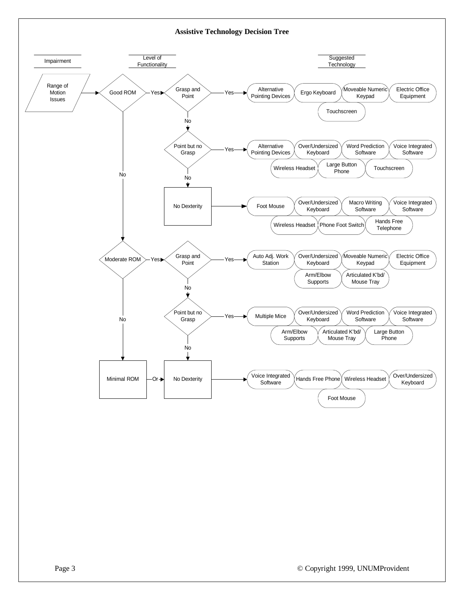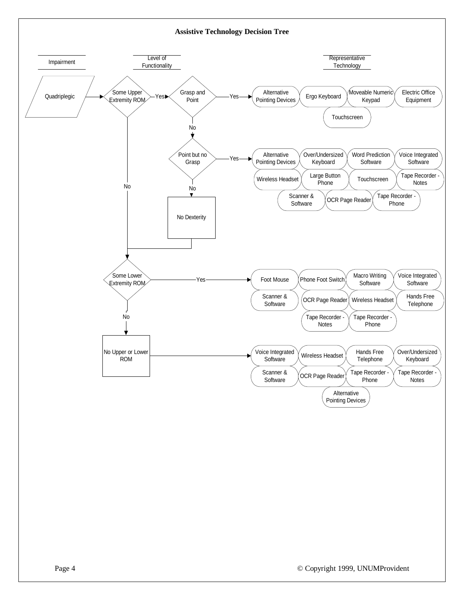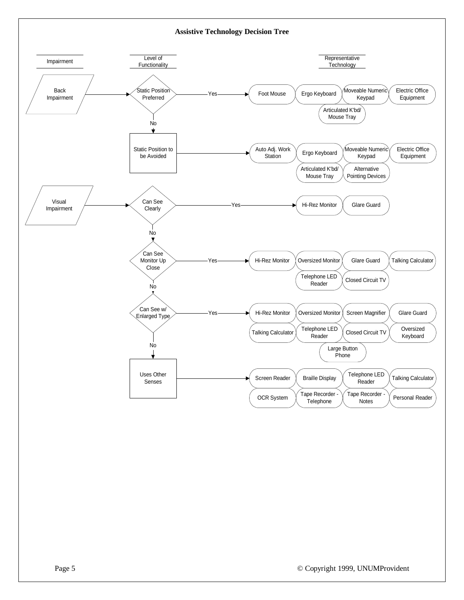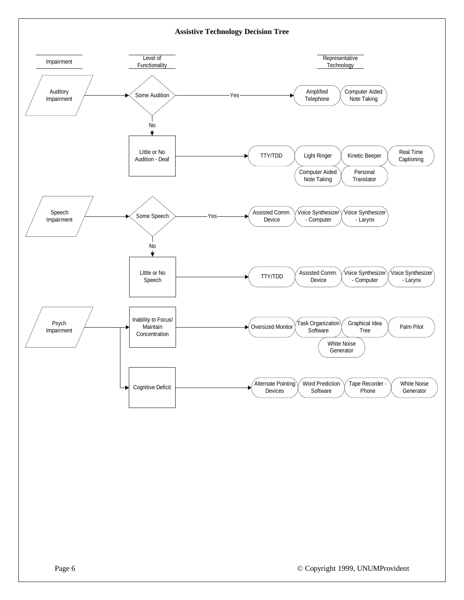